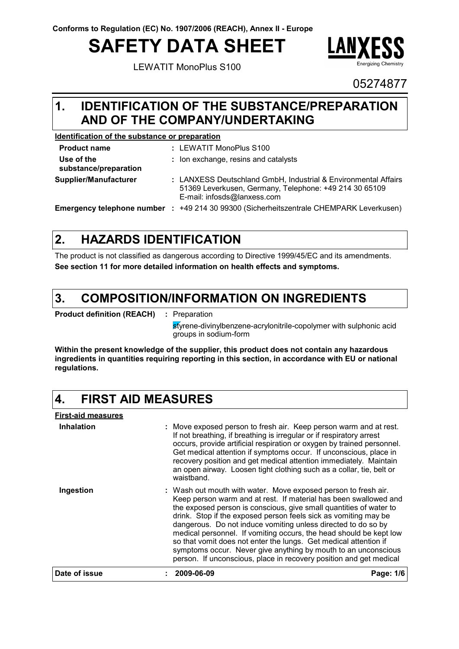# **SAFETY DATA SHEET**

LEWATIT MonoPlus S100



05274877

#### **IDENTIFICATION OF THE SUBSTANCE/PREPARATION AND OF THE COMPANY/UNDERTAKING 1.**

#### **Identification of the substance or preparation**

| <b>Product name</b>                 | : LEWATIT MonoPlus S100                                                                                                                                 |
|-------------------------------------|---------------------------------------------------------------------------------------------------------------------------------------------------------|
| Use of the<br>substance/preparation | : Ion exchange, resins and catalysts                                                                                                                    |
| Supplier/Manufacturer               | : LANXESS Deutschland GmbH, Industrial & Environmental Affairs<br>51369 Leverkusen, Germany, Telephone: +49 214 30 65109<br>E-mail: infosds@lanxess.com |
| Emergency telephone number :        | +49 214 30 99300 (Sicherheitszentrale CHEMPARK Leverkusen)                                                                                              |

#### **HAZARDS IDENTIFICATION 2.**

The product is not classified as dangerous according to Directive 1999/45/EC and its amendments. **See section 11 for more detailed information on health effects and symptoms.**

#### **COMPOSITION/INFORMATION ON INGREDIENTS 3.**

**Product definition (REACH) :** Preparation

styrene-divinylbenzene-acrylonitrile-copolymer with sulphonic acid groups in sodium-form

**Within the present knowledge of the supplier, this product does not contain any hazardous ingredients in quantities requiring reporting in this section, in accordance with EU or national regulations.**

#### **4. FIRST AID MEASURES**

| Date of issue             | 2009-06-09                                                                                                                                                                                                                                                                                                                                                                                                                                                                                                                                                                                                                     | Page: 1/6 |
|---------------------------|--------------------------------------------------------------------------------------------------------------------------------------------------------------------------------------------------------------------------------------------------------------------------------------------------------------------------------------------------------------------------------------------------------------------------------------------------------------------------------------------------------------------------------------------------------------------------------------------------------------------------------|-----------|
| Ingestion                 | : Wash out mouth with water. Move exposed person to fresh air.<br>Keep person warm and at rest. If material has been swallowed and<br>the exposed person is conscious, give small quantities of water to<br>drink. Stop if the exposed person feels sick as vomiting may be<br>dangerous. Do not induce vomiting unless directed to do so by<br>medical personnel. If vomiting occurs, the head should be kept low<br>so that vomit does not enter the lungs. Get medical attention if<br>symptoms occur. Never give anything by mouth to an unconscious<br>person. If unconscious, place in recovery position and get medical |           |
| Inhalation                | : Move exposed person to fresh air. Keep person warm and at rest.<br>If not breathing, if breathing is irregular or if respiratory arrest<br>occurs, provide artificial respiration or oxygen by trained personnel.<br>Get medical attention if symptoms occur. If unconscious, place in<br>recovery position and get medical attention immediately. Maintain<br>an open airway. Loosen tight clothing such as a collar, tie, belt or<br>waistband.                                                                                                                                                                            |           |
| <b>First-aid measures</b> |                                                                                                                                                                                                                                                                                                                                                                                                                                                                                                                                                                                                                                |           |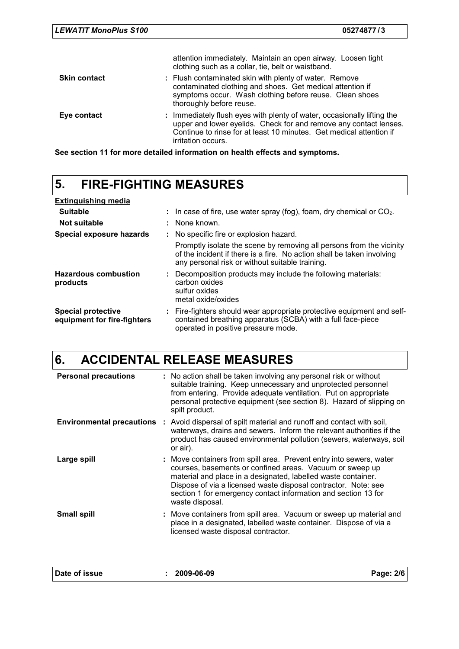|             | contaminated clothing and shoes. Get medical attention if<br>symptoms occur. Wash clothing before reuse. Clean shoes<br>thoroughly before reuse.                                                                    |
|-------------|---------------------------------------------------------------------------------------------------------------------------------------------------------------------------------------------------------------------|
| Eye contact | : Immediately flush eyes with plenty of water, occasionally lifting the<br>upper and lower eyelids. Check for and remove any contact lenses.<br>Continue to rinse for at least 10 minutes. Get medical attention if |

**See section 11 for more detailed information on health effects and symptoms.** irritation occurs.

## **5. FIRE-FIGHTING MEASURES**

| <b>Extinguishing media</b>                               |                                                                                                                                                                                                   |
|----------------------------------------------------------|---------------------------------------------------------------------------------------------------------------------------------------------------------------------------------------------------|
| <b>Suitable</b>                                          | : In case of fire, use water spray (fog), foam, dry chemical or $CO2$ .                                                                                                                           |
| Not suitable                                             | : None known.                                                                                                                                                                                     |
| Special exposure hazards                                 | : No specific fire or explosion hazard.                                                                                                                                                           |
|                                                          | Promptly isolate the scene by removing all persons from the vicinity<br>of the incident if there is a fire. No action shall be taken involving<br>any personal risk or without suitable training. |
| <b>Hazardous combustion</b><br>products                  | : Decomposition products may include the following materials:<br>carbon oxides<br>sulfur oxides<br>metal oxide/oxides                                                                             |
| <b>Special protective</b><br>equipment for fire-fighters | : Fire-fighters should wear appropriate protective equipment and self-<br>contained breathing apparatus (SCBA) with a full face-piece<br>operated in positive pressure mode.                      |

## **6. ACCIDENTAL RELEASE MEASURES**

| <b>Personal precautions</b> | : No action shall be taken involving any personal risk or without<br>suitable training. Keep unnecessary and unprotected personnel<br>from entering. Provide adequate ventilation. Put on appropriate<br>personal protective equipment (see section 8). Hazard of slipping on<br>spilt product.                                                         |
|-----------------------------|---------------------------------------------------------------------------------------------------------------------------------------------------------------------------------------------------------------------------------------------------------------------------------------------------------------------------------------------------------|
| Environmental precautions : | Avoid dispersal of spilt material and runoff and contact with soil,<br>waterways, drains and sewers. Inform the relevant authorities if the<br>product has caused environmental pollution (sewers, waterways, soil<br>or air).                                                                                                                          |
| Large spill                 | : Move containers from spill area. Prevent entry into sewers, water<br>courses, basements or confined areas. Vacuum or sweep up<br>material and place in a designated, labelled waste container.<br>Dispose of via a licensed waste disposal contractor. Note: see<br>section 1 for emergency contact information and section 13 for<br>waste disposal. |
| <b>Small spill</b>          | : Move containers from spill area. Vacuum or sweep up material and<br>place in a designated, labelled waste container. Dispose of via a<br>licensed waste disposal contractor.                                                                                                                                                                          |
|                             |                                                                                                                                                                                                                                                                                                                                                         |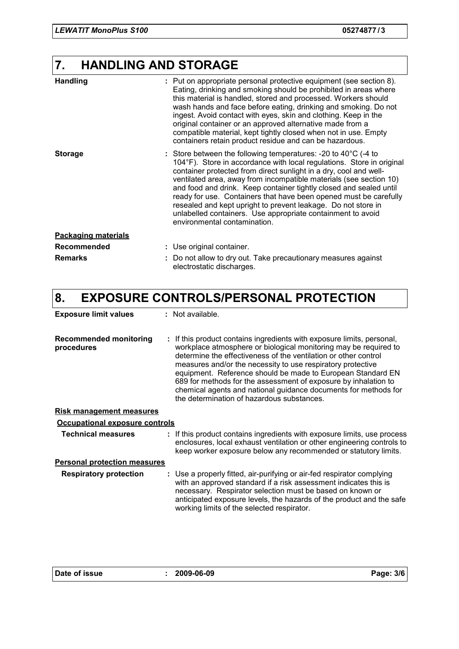## **7. HANDLING AND STORAGE**

| <b>Handling</b>            | : Put on appropriate personal protective equipment (see section 8).<br>Eating, drinking and smoking should be prohibited in areas where<br>this material is handled, stored and processed. Workers should<br>wash hands and face before eating, drinking and smoking. Do not<br>ingest. Avoid contact with eyes, skin and clothing. Keep in the<br>original container or an approved alternative made from a<br>compatible material, kept tightly closed when not in use. Empty<br>containers retain product residue and can be hazardous.                                                              |
|----------------------------|---------------------------------------------------------------------------------------------------------------------------------------------------------------------------------------------------------------------------------------------------------------------------------------------------------------------------------------------------------------------------------------------------------------------------------------------------------------------------------------------------------------------------------------------------------------------------------------------------------|
| <b>Storage</b>             | : Store between the following temperatures: -20 to $40^{\circ}$ C (-4 to<br>104°F). Store in accordance with local regulations. Store in original<br>container protected from direct sunlight in a dry, cool and well-<br>ventilated area, away from incompatible materials (see section 10)<br>and food and drink. Keep container tightly closed and sealed until<br>ready for use. Containers that have been opened must be carefully<br>resealed and kept upright to prevent leakage. Do not store in<br>unlabelled containers. Use appropriate containment to avoid<br>environmental contamination. |
| <b>Packaging materials</b> |                                                                                                                                                                                                                                                                                                                                                                                                                                                                                                                                                                                                         |
| Recommended                | : Use original container.                                                                                                                                                                                                                                                                                                                                                                                                                                                                                                                                                                               |
| <b>Remarks</b>             | : Do not allow to dry out. Take precautionary measures against<br>electrostatic discharges.                                                                                                                                                                                                                                                                                                                                                                                                                                                                                                             |

## **8. EXPOSURE CONTROLS/PERSONAL PROTECTION**

| <b>Exposure limit values</b>                | : Not available.                                                                                                                                                                                                                                                                                                                                                                                                                                                                                                                |
|---------------------------------------------|---------------------------------------------------------------------------------------------------------------------------------------------------------------------------------------------------------------------------------------------------------------------------------------------------------------------------------------------------------------------------------------------------------------------------------------------------------------------------------------------------------------------------------|
| <b>Recommended monitoring</b><br>procedures | : If this product contains ingredients with exposure limits, personal,<br>workplace atmosphere or biological monitoring may be required to<br>determine the effectiveness of the ventilation or other control<br>measures and/or the necessity to use respiratory protective<br>equipment. Reference should be made to European Standard EN<br>689 for methods for the assessment of exposure by inhalation to<br>chemical agents and national guidance documents for methods for<br>the determination of hazardous substances. |
| <b>Risk management measures</b>             |                                                                                                                                                                                                                                                                                                                                                                                                                                                                                                                                 |
| Occupational exposure controls              |                                                                                                                                                                                                                                                                                                                                                                                                                                                                                                                                 |
| <b>Technical measures</b>                   | : If this product contains ingredients with exposure limits, use process<br>enclosures, local exhaust ventilation or other engineering controls to<br>keep worker exposure below any recommended or statutory limits.                                                                                                                                                                                                                                                                                                           |
| <b>Personal protection measures</b>         |                                                                                                                                                                                                                                                                                                                                                                                                                                                                                                                                 |
| <b>Respiratory protection</b>               | : Use a properly fitted, air-purifying or air-fed respirator complying<br>with an approved standard if a risk assessment indicates this is<br>necessary. Respirator selection must be based on known or<br>anticipated exposure levels, the hazards of the product and the safe<br>working limits of the selected respirator.                                                                                                                                                                                                   |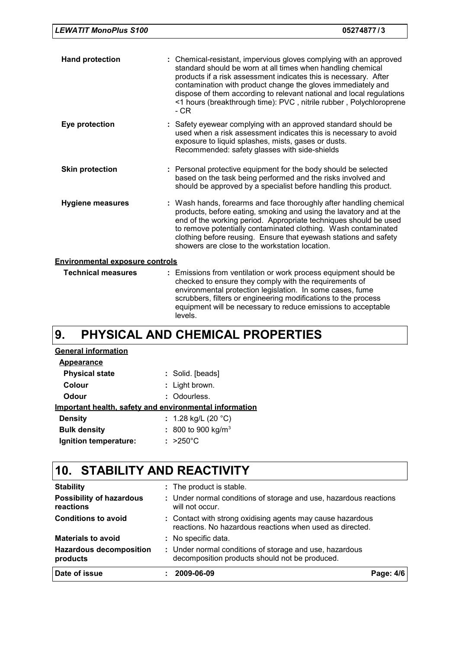| <b>LEWATIT MonoPlus S100</b> |  |  |  |
|------------------------------|--|--|--|
|------------------------------|--|--|--|

| <b>Hand protection</b>                 | : Chemical-resistant, impervious gloves complying with an approved<br>standard should be worn at all times when handling chemical<br>products if a risk assessment indicates this is necessary. After<br>contamination with product change the gloves immediately and<br>dispose of them according to relevant national and local regulations<br><1 hours (breakthrough time): PVC, nitrile rubber, Polychloroprene<br>- CR |  |  |  |  |  |
|----------------------------------------|-----------------------------------------------------------------------------------------------------------------------------------------------------------------------------------------------------------------------------------------------------------------------------------------------------------------------------------------------------------------------------------------------------------------------------|--|--|--|--|--|
| Eye protection                         | : Safety eyewear complying with an approved standard should be<br>used when a risk assessment indicates this is necessary to avoid<br>exposure to liquid splashes, mists, gases or dusts.<br>Recommended: safety glasses with side-shields                                                                                                                                                                                  |  |  |  |  |  |
| <b>Skin protection</b>                 | : Personal protective equipment for the body should be selected<br>based on the task being performed and the risks involved and<br>should be approved by a specialist before handling this product.                                                                                                                                                                                                                         |  |  |  |  |  |
| <b>Hygiene measures</b>                | : Wash hands, forearms and face thoroughly after handling chemical<br>products, before eating, smoking and using the lavatory and at the<br>end of the working period. Appropriate techniques should be used<br>to remove potentially contaminated clothing. Wash contaminated<br>clothing before reusing. Ensure that eyewash stations and safety<br>showers are close to the workstation location.                        |  |  |  |  |  |
| <b>Environmental exposure controls</b> |                                                                                                                                                                                                                                                                                                                                                                                                                             |  |  |  |  |  |
| <b>Technical measures</b>              | : Emissions from ventilation or work process equipment should be<br>checked to ensure they comply with the requirements of<br>environmental protection legislation. In some cases, fume<br>scrubbers, filters or engineering modifications to the process<br>equipment will be necessary to reduce emissions to acceptable                                                                                                  |  |  |  |  |  |

#### **PHYSICAL AND CHEMICAL PROPERTIES 9.**

levels.

| <b>General information</b>                             |                        |
|--------------------------------------------------------|------------------------|
| Appearance                                             |                        |
| <b>Physical state</b>                                  | : Solid. [beads]       |
| Colour                                                 | : Light brown.         |
| Odour                                                  | : Odourless.           |
| Important health, safety and environmental information |                        |
| <b>Density</b>                                         | : 1.28 kg/L (20 °C)    |
| <b>Bulk density</b>                                    | : 800 to 900 kg/ $m^3$ |
| Ignition temperature:                                  | $: >250^{\circ}$ C     |

## **10. STABILITY AND REACTIVITY**

| Date of issue                                | 2009-06-09                                                                                                             | Page: 4/6 |  |  |  |
|----------------------------------------------|------------------------------------------------------------------------------------------------------------------------|-----------|--|--|--|
| <b>Hazardous decomposition</b><br>products   | : Under normal conditions of storage and use, hazardous<br>decomposition products should not be produced.              |           |  |  |  |
| <b>Materials to avoid</b>                    | : No specific data.                                                                                                    |           |  |  |  |
| <b>Conditions to avoid</b>                   | : Contact with strong oxidising agents may cause hazardous<br>reactions. No hazardous reactions when used as directed. |           |  |  |  |
| <b>Possibility of hazardous</b><br>reactions | : Under normal conditions of storage and use, hazardous reactions<br>will not occur.                                   |           |  |  |  |
| <b>Stability</b>                             | : The product is stable.                                                                                               |           |  |  |  |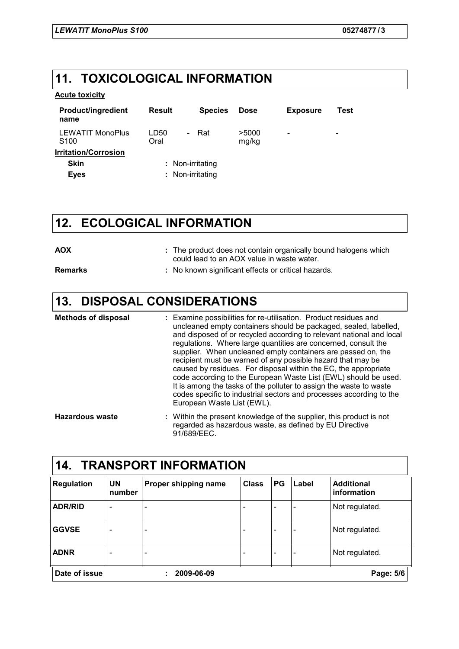## **11. TOXICOLOGICAL INFORMATION**

#### **Acute toxicity**

| <b>Product/ingredient</b><br>name           | <b>Result</b>                            | <b>Species</b> | <b>Dose</b>    | <b>Exposure</b>          | Test                     |
|---------------------------------------------|------------------------------------------|----------------|----------------|--------------------------|--------------------------|
| <b>LEWATIT MonoPlus</b><br>S <sub>100</sub> | LD50<br>$\overline{\phantom{0}}$<br>Oral | Rat            | >5000<br>mg/kg | $\overline{\phantom{a}}$ | $\overline{\phantom{0}}$ |
| <b>Irritation/Corrosion</b>                 |                                          |                |                |                          |                          |
| <b>Skin</b>                                 | : Non-irritating                         |                |                |                          |                          |
| <b>Eyes</b>                                 | : Non-irritating                         |                |                |                          |                          |

### **12. ECOLOGICAL INFORMATION**

| <b>AOX</b>     | : The product does not contain organically bound halogens which<br>could lead to an AOX value in waste water. |
|----------------|---------------------------------------------------------------------------------------------------------------|
| <b>Remarks</b> | : No known significant effects or critical hazards.                                                           |

## **13. DISPOSAL CONSIDERATIONS**

| <b>Methods of disposal</b> | : Examine possibilities for re-utilisation. Product residues and<br>uncleaned empty containers should be packaged, sealed, labelled,<br>and disposed of or recycled according to relevant national and local<br>regulations. Where large quantities are concerned, consult the<br>supplier. When uncleaned empty containers are passed on, the<br>recipient must be warned of any possible hazard that may be<br>caused by residues. For disposal within the EC, the appropriate<br>code according to the European Waste List (EWL) should be used.<br>It is among the tasks of the polluter to assign the waste to waste<br>codes specific to industrial sectors and processes according to the<br>European Waste List (EWL). |
|----------------------------|--------------------------------------------------------------------------------------------------------------------------------------------------------------------------------------------------------------------------------------------------------------------------------------------------------------------------------------------------------------------------------------------------------------------------------------------------------------------------------------------------------------------------------------------------------------------------------------------------------------------------------------------------------------------------------------------------------------------------------|
| <b>Hazardous waste</b>     | : Within the present knowledge of the supplier, this product is not<br>regarded as hazardous waste, as defined by EU Directive                                                                                                                                                                                                                                                                                                                                                                                                                                                                                                                                                                                                 |

91/689/EEC.

| 14.<br><b>TRANSPORT INFORMATION</b> |                          |                              |              |    |       |                                  |
|-------------------------------------|--------------------------|------------------------------|--------------|----|-------|----------------------------------|
| <b>Regulation</b>                   | <b>UN</b><br>number      | Proper shipping name         | <b>Class</b> | PG | Label | <b>Additional</b><br>information |
| <b>ADR/RID</b>                      | $\overline{\phantom{a}}$ | $\overline{\phantom{a}}$     |              |    |       | Not regulated.                   |
| <b>GGVSE</b>                        | -                        | $\qquad \qquad \blacksquare$ |              |    |       | Not regulated.                   |
| <b>ADNR</b>                         |                          | $\qquad \qquad \blacksquare$ |              |    |       | Not regulated.                   |
| Date of issue                       |                          | 2009-06-09                   |              |    |       | Page: 5/6                        |